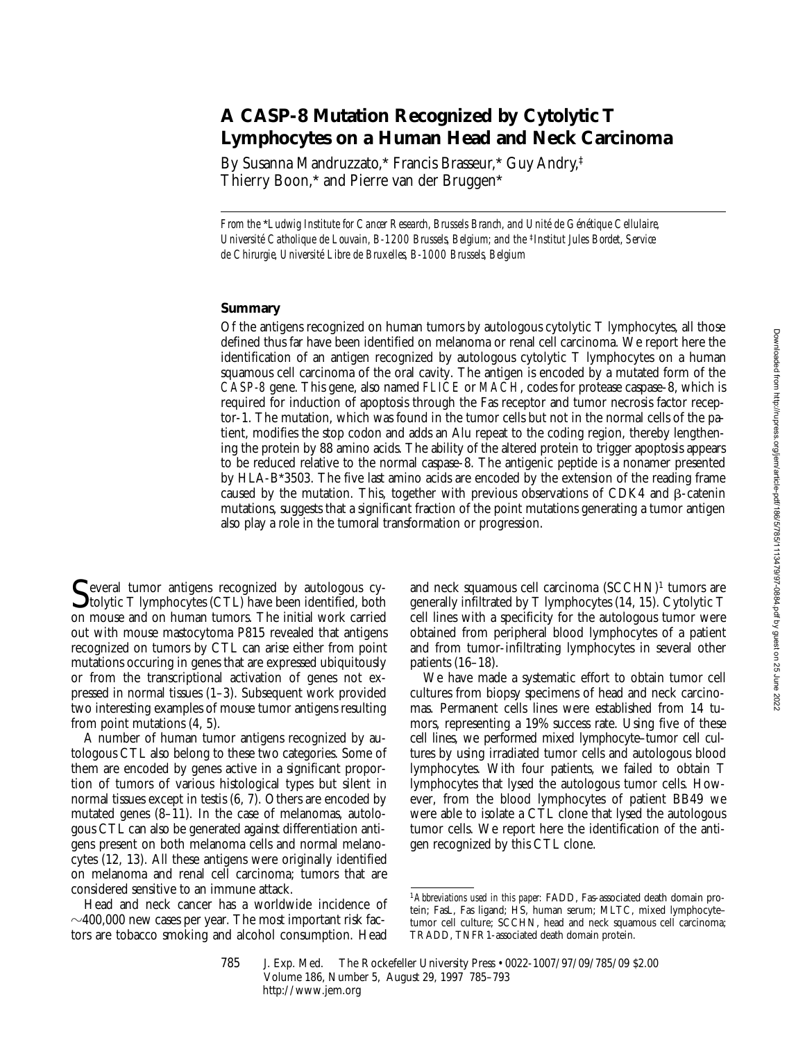# **A CASP-8 Mutation Recognized by Cytolytic T Lymphocytes on a Human Head and Neck Carcinoma**

By Susanna Mandruzzato,\* Francis Brasseur,\* Guy Andry,‡ Thierry Boon,\* and Pierre van der Bruggen\*

*From the* \**Ludwig Institute for Cancer Research, Brussels Branch, and Unité de Génétique Cellulaire, Université Catholique de Louvain, B-1200 Brussels, Belgium; and the <sup>‡</sup><i>Institut Jules Bordet, Service de Chirurgie, Université Libre de Bruxelles, B-1000 Brussels, Belgium*

## **Summary**

Of the antigens recognized on human tumors by autologous cytolytic T lymphocytes, all those defined thus far have been identified on melanoma or renal cell carcinoma. We report here the identification of an antigen recognized by autologous cytolytic T lymphocytes on a human squamous cell carcinoma of the oral cavity. The antigen is encoded by a mutated form of the *CASP-8* gene. This gene, also named *FLICE* or *MACH*, codes for protease caspase-8, which is required for induction of apoptosis through the Fas receptor and tumor necrosis factor receptor-1. The mutation, which was found in the tumor cells but not in the normal cells of the patient, modifies the stop codon and adds an Alu repeat to the coding region, thereby lengthening the protein by 88 amino acids. The ability of the altered protein to trigger apoptosis appears to be reduced relative to the normal caspase-8. The antigenic peptide is a nonamer presented by HLA-B\*3503. The five last amino acids are encoded by the extension of the reading frame caused by the mutation. This, together with previous observations of CDK4 and  $\beta$ -catenin mutations, suggests that a significant fraction of the point mutations generating a tumor antigen also play a role in the tumoral transformation or progression.

Several tumor antigens recognized by autologous cy-<br>tolytic T lymphocytes (CTL) have been identified, both<br>on mouse and on human tumors. The initial work cerried on mouse and on human tumors. The initial work carried out with mouse mastocytoma P815 revealed that antigens recognized on tumors by CTL can arise either from point mutations occuring in genes that are expressed ubiquitously or from the transcriptional activation of genes not expressed in normal tissues (1–3). Subsequent work provided two interesting examples of mouse tumor antigens resulting from point mutations (4, 5).

A number of human tumor antigens recognized by autologous CTL also belong to these two categories. Some of them are encoded by genes active in a significant proportion of tumors of various histological types but silent in normal tissues except in testis (6, 7). Others are encoded by mutated genes (8–11). In the case of melanomas, autologous CTL can also be generated against differentiation antigens present on both melanoma cells and normal melanocytes (12, 13). All these antigens were originally identified on melanoma and renal cell carcinoma; tumors that are considered sensitive to an immune attack.

Head and neck cancer has a worldwide incidence of  $\sim$ 400,000 new cases per year. The most important risk factors are tobacco smoking and alcohol consumption. Head and neck squamous cell carcinoma  $(SCCHN)^1$  tumors are generally infiltrated by T lymphocytes (14, 15). Cytolytic T cell lines with a specificity for the autologous tumor were obtained from peripheral blood lymphocytes of a patient and from tumor-infiltrating lymphocytes in several other patients (16–18).

We have made a systematic effort to obtain tumor cell cultures from biopsy specimens of head and neck carcinomas. Permanent cells lines were established from 14 tumors, representing a 19% success rate. Using five of these cell lines, we performed mixed lymphocyte–tumor cell cultures by using irradiated tumor cells and autologous blood lymphocytes. With four patients, we failed to obtain T lymphocytes that lysed the autologous tumor cells. However, from the blood lymphocytes of patient BB49 we were able to isolate a CTL clone that lysed the autologous tumor cells. We report here the identification of the antigen recognized by this CTL clone.

<sup>1</sup>*Abbreviations used in this paper:* FADD, Fas-associated death domain protein; FasL, Fas ligand; HS, human serum; MLTC, mixed lymphocyte– tumor cell culture; SCCHN, head and neck squamous cell carcinoma; TRADD, TNFR1-associated death domain protein.

<sup>785</sup> J. Exp. Med. © The Rockefeller University Press • 0022-1007/97/09/785/09 \$2.00 Volume 186, Number 5, August 29, 1997 785–793 http://www.jem.org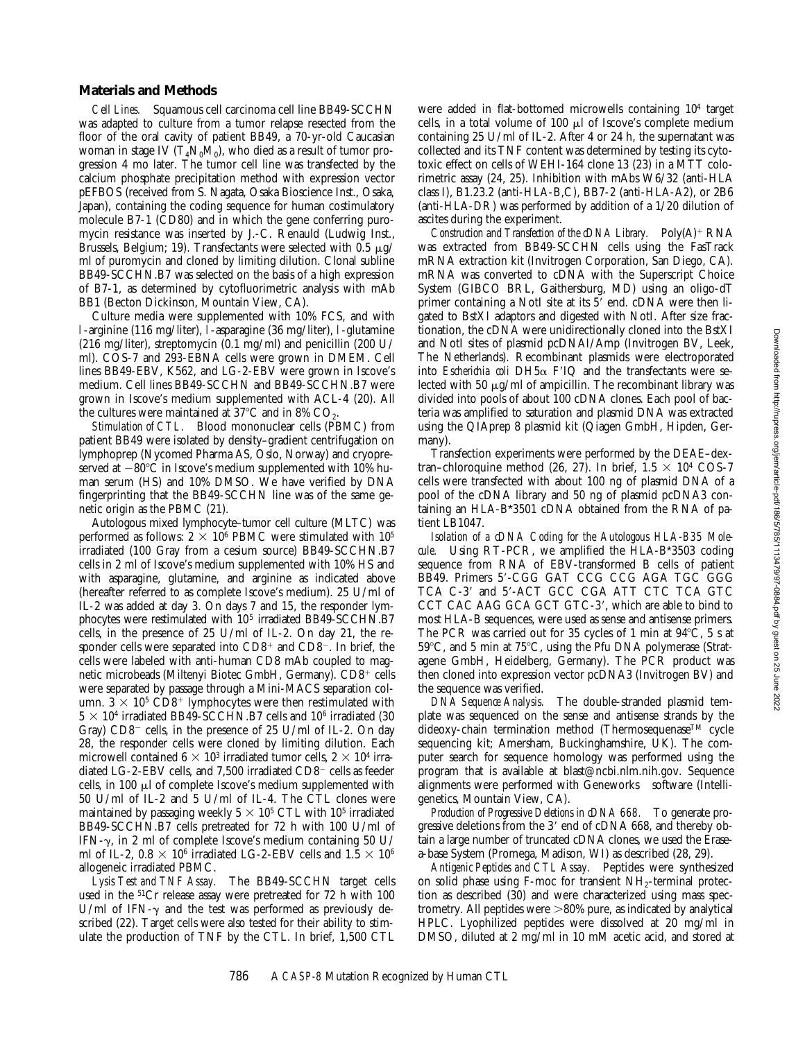### **Materials and Methods**

*Cell Lines.* Squamous cell carcinoma cell line BB49-SCCHN was adapted to culture from a tumor relapse resected from the floor of the oral cavity of patient BB49, a 70-yr-old Caucasian woman in stage IV  $(T_4N_0M_0)$ , who died as a result of tumor progression 4 mo later. The tumor cell line was transfected by the calcium phosphate precipitation method with expression vector pEFBOS (received from S. Nagata, Osaka Bioscience Inst., Osaka, Japan), containing the coding sequence for human costimulatory molecule B7-1 (CD80) and in which the gene conferring puromycin resistance was inserted by J.-C. Renauld (Ludwig Inst., Brussels, Belgium; 19). Transfectants were selected with 0.5  $\mu$ g/ ml of puromycin and cloned by limiting dilution. Clonal subline BB49-SCCHN.B7 was selected on the basis of a high expression of B7-1, as determined by cytofluorimetric analysis with mAb BB1 (Becton Dickinson, Mountain View, CA).

Culture media were supplemented with 10% FCS, and with l-arginine (116 mg/liter), l-asparagine (36 mg/liter), l-glutamine (216 mg/liter), streptomycin (0.1 mg/ml) and penicillin (200 U/ ml). COS-7 and 293-EBNA cells were grown in DMEM. Cell lines BB49-EBV, K562, and LG-2-EBV were grown in Iscove's medium. Cell lines BB49-SCCHN and BB49-SCCHN.B7 were grown in Iscove's medium supplemented with ACL-4 (20). All the cultures were maintained at  $37^{\circ}$ C and in 8% CO<sub>2</sub>.

*Stimulation of CTL.* Blood mononuclear cells (PBMC) from patient BB49 were isolated by density–gradient centrifugation on lymphoprep (Nycomed Pharma AS, Oslo, Norway) and cryopreserved at  $-80^{\circ}$ C in Iscove's medium supplemented with 10% human serum (HS) and 10% DMSO. We have verified by DNA fingerprinting that the BB49-SCCHN line was of the same genetic origin as the PBMC (21).

Autologous mixed lymphocyte–tumor cell culture (MLTC) was performed as follows:  $2 \times 10^6$  PBMC were stimulated with  $10^5$ irradiated (100 Gray from a cesium source) BB49-SCCHN.B7 cells in 2 ml of Iscove's medium supplemented with 10% HS and with asparagine, glutamine, and arginine as indicated above (hereafter referred to as complete Iscove's medium). 25 U/ml of IL-2 was added at day 3. On days 7 and 15, the responder lymphocytes were restimulated with 105 irradiated BB49-SCCHN.B7 cells, in the presence of 25 U/ml of IL-2. On day 21, the responder cells were separated into  $CD8<sup>+</sup>$  and  $CD8<sup>-</sup>$ . In brief, the cells were labeled with anti-human CD8 mAb coupled to magnetic microbeads (Miltenyi Biotec GmbH, Germany). CD8<sup>+</sup> cells were separated by passage through a Mini-MACS separation column.  $3 \times 10^5$  CD8<sup>+</sup> lymphocytes were then restimulated with  $5 \times 10^4$  irradiated BB49-SCCHN.B7 cells and 10<sup>6</sup> irradiated (30 Gray)  $CD8^-$  cells, in the presence of 25 U/ml of IL-2. On day 28, the responder cells were cloned by limiting dilution. Each microwell contained  $6 \times 10^3$  irradiated tumor cells,  $2 \times 10^4$  irradiated LG-2-EBV cells, and 7,500 irradiated  $CD8^-$  cells as feeder cells, in 100  $\mu$ l of complete Iscove's medium supplemented with 50 U/ml of IL-2 and 5 U/ml of IL-4. The CTL clones were maintained by passaging weekly  $5 \times 10^5$  CTL with 10<sup>5</sup> irradiated BB49-SCCHN.B7 cells pretreated for 72 h with 100 U/ml of IFN- $\gamma$ , in 2 ml of complete Iscove's medium containing 50 U/ ml of IL-2,  $0.8 \times 10^6$  irradiated LG-2-EBV cells and  $1.5 \times 10^6$ allogeneic irradiated PBMC.

*Lysis Test and TNF Assay.* The BB49-SCCHN target cells used in the 51Cr release assay were pretreated for 72 h with 100 U/ml of IFN- $\gamma$  and the test was performed as previously described (22). Target cells were also tested for their ability to stimulate the production of TNF by the CTL. In brief, 1,500 CTL

were added in flat-bottomed microwells containing 10<sup>4</sup> target cells, in a total volume of  $100 \mu l$  of Iscove's complete medium containing 25 U/ml of IL-2. After 4 or 24 h, the supernatant was collected and its TNF content was determined by testing its cytotoxic effect on cells of WEHI-164 clone 13 (23) in a MTT colorimetric assay (24, 25). Inhibition with mAbs W6/32 (anti-HLA class I), B1.23.2 (anti-HLA-B,C), BB7-2 (anti-HLA-A2), or 2B6 (anti-HLA-DR) was performed by addition of a 1/20 dilution of ascites during the experiment.

*Construction and Transfection of the cDNA Library.* Poly(A)<sup>+</sup> RNA was extracted from BB49-SCCHN cells using the FasTrack mRNA extraction kit (Invitrogen Corporation, San Diego, CA). mRNA was converted to cDNA with the Superscript Choice System (GIBCO BRL, Gaithersburg, MD) using an oligo-dT primer containing a NotI site at its  $5'$  end. cDNA were then ligated to BstXI adaptors and digested with NotI. After size fractionation, the cDNA were unidirectionally cloned into the BstXI and NotI sites of plasmid pcDNAI/Amp (Invitrogen BV, Leek, The Netherlands). Recombinant plasmids were electroporated into *Escherichia coli* DH5 $\alpha$  F<sup>'</sup>IQ and the transfectants were selected with 50  $\mu$ g/ml of ampicillin. The recombinant library was divided into pools of about 100 cDNA clones. Each pool of bacteria was amplified to saturation and plasmid DNA was extracted using the QIAprep 8 plasmid kit (Qiagen GmbH, Hipden, Germany).

Transfection experiments were performed by the DEAE–dextran–chloroquine method (26, 27). In brief,  $1.5 \times 10^4$  COS-7 cells were transfected with about 100 ng of plasmid DNA of a pool of the cDNA library and 50 ng of plasmid pcDNA3 containing an HLA-B\*3501 cDNA obtained from the RNA of patient LB1047.

*Isolation of a cDNA Coding for the Autologous HLA-B35 Molecule.* Using RT-PCR, we amplified the HLA-B\*3503 coding sequence from RNA of EBV-transformed B cells of patient BB49. Primers 5'-CGG GAT CCG CCG AGA TGC GGG TCA C-3' and 5'-ACT GCC CGA ATT CTC TCA GTC CCT CAC AAG GCA GCT GTC-3', which are able to bind to most HLA-B sequences, were used as sense and antisense primers. The PCR was carried out for 35 cycles of 1 min at  $94^{\circ}$ C, 5 s at  $59^{\circ}$ C, and 5 min at  $75^{\circ}$ C, using the Pfu DNA polymerase (Stratagene GmbH, Heidelberg, Germany). The PCR product was then cloned into expression vector pcDNA3 (Invitrogen BV) and the sequence was verified.

*DNA Sequence Analysis.* The double-stranded plasmid template was sequenced on the sense and antisense strands by the dideoxy-chain termination method (Thermosequenase<sup>TM</sup> cycle sequencing kit; Amersham, Buckinghamshire, UK). The computer search for sequence homology was performed using the program that is available at blast@ncbi.nlm.nih.gov. Sequence alignments were performed with Geneworks® software (Intelligenetics, Mountain View, CA).

*Production of Progressive Deletions in cDNA 668.* To generate progressive deletions from the 3' end of cDNA 668, and thereby obtain a large number of truncated cDNA clones, we used the Erasea-base System (Promega, Madison, WI) as described (28, 29).

*Antigenic Peptides and CTL Assay.* Peptides were synthesized on solid phase using F-moc for transient  $NH<sub>2</sub>$ -terminal protection as described (30) and were characterized using mass spectrometry. All peptides were  $>80\%$  pure, as indicated by analytical HPLC. Lyophilized peptides were dissolved at 20 mg/ml in DMSO, diluted at 2 mg/ml in 10 mM acetic acid, and stored at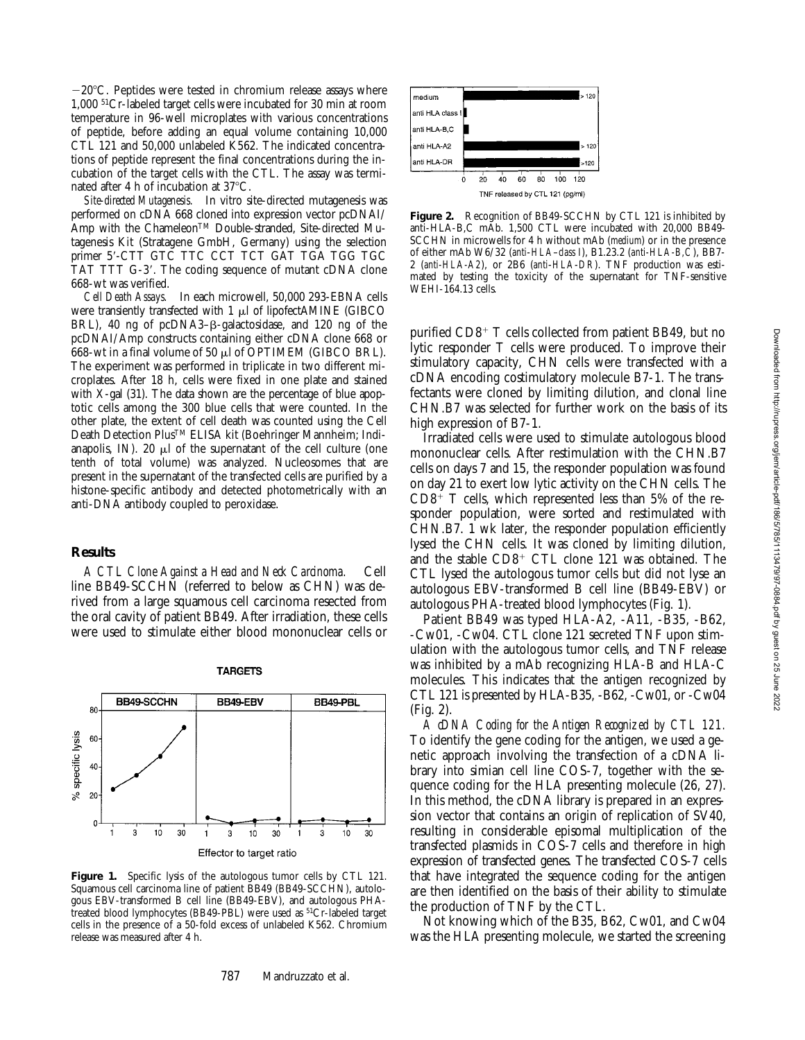$-20^{\circ}$ C. Peptides were tested in chromium release assays where 1,000 51Cr-labeled target cells were incubated for 30 min at room temperature in 96-well microplates with various concentrations of peptide, before adding an equal volume containing 10,000 CTL 121 and 50,000 unlabeled K562. The indicated concentrations of peptide represent the final concentrations during the incubation of the target cells with the CTL. The assay was terminated after 4 h of incubation at 37°C.

*Site-directed Mutagenesis.* In vitro site-directed mutagenesis was performed on cDNA 668 cloned into expression vector pcDNAI/ Amp with the Chameleon<sup>™</sup> Double-stranded, Site-directed Mutagenesis Kit (Stratagene GmbH, Germany) using the selection primer 5'-CTT GTC TTC CCT TCT GAT TGA TGG TGC TAT TTT G-3'. The coding sequence of mutant cDNA clone 668-wt was verified.

*Cell Death Assays.* In each microwell, 50,000 293-EBNA cells were transiently transfected with  $1 \mu l$  of lipofectAMINE (GIBCO BRL), 40 ng of pcDNA3– $\beta$ -galactosidase, and 120 ng of the pcDNAI/Amp constructs containing either cDNA clone 668 or 668-wt in a final volume of 50  $\mu$ l of OPTIMEM (GIBCO BRL). The experiment was performed in triplicate in two different microplates. After 18 h, cells were fixed in one plate and stained with X-gal (31). The data shown are the percentage of blue apoptotic cells among the 300 blue cells that were counted. In the other plate, the extent of cell death was counted using the Cell Death Detection PlusTM ELISA kit (Boehringer Mannheim; Indianapolis, IN). 20  $\mu$ l of the supernatant of the cell culture (one tenth of total volume) was analyzed. Nucleosomes that are present in the supernatant of the transfected cells are purified by a histone-specific antibody and detected photometrically with an anti-DNA antibody coupled to peroxidase.

#### **Results**

*A CTL Clone Against a Head and Neck Carcinoma.* Cell line BB49-SCCHN (referred to below as CHN) was derived from a large squamous cell carcinoma resected from the oral cavity of patient BB49. After irradiation, these cells were used to stimulate either blood mononuclear cells or



#### **TARGETS**

Figure 1. Specific lysis of the autologous tumor cells by CTL 121. Squamous cell carcinoma line of patient BB49 (BB49-SCCHN), autologous EBV-transformed B cell line (BB49-EBV), and autologous PHAtreated blood lymphocytes (BB49-PBL) were used as <sup>51</sup>Cr-labeled target cells in the presence of a 50-fold excess of unlabeled K562. Chromium release was measured after 4 h.

**Figure 2.** Recognition of BB49-SCCHN by CTL 121 is inhibited by anti-HLA-B,C mAb. 1,500 CTL were incubated with 20,000 BB49- SCCHN in microwells for 4 h without mAb (*medium*) or in the presence of either mAb W6/32 (*anti*-*HLA*–*class I*), B1.23.2 (*anti-HLA-B,C*), BB7- 2 (*anti-HLA-A2*), or 2B6 (*anti*-*HLA*-*DR*). TNF production was estimated by testing the toxicity of the supernatant for TNF-sensitive WEHI-164.13 cells.

purified  $CD8<sup>+</sup>$  T cells collected from patient BB49, but no lytic responder T cells were produced. To improve their stimulatory capacity, CHN cells were transfected with a cDNA encoding costimulatory molecule B7-1. The transfectants were cloned by limiting dilution, and clonal line CHN.B7 was selected for further work on the basis of its high expression of B7-1.

Irradiated cells were used to stimulate autologous blood mononuclear cells. After restimulation with the CHN.B7 cells on days 7 and 15, the responder population was found on day 21 to exert low lytic activity on the CHN cells. The  $CD8^+$  T cells, which represented less than 5% of the responder population, were sorted and restimulated with CHN.B7. 1 wk later, the responder population efficiently lysed the CHN cells. It was cloned by limiting dilution, and the stable  $CD8<sup>+</sup>$  CTL clone 121 was obtained. The CTL lysed the autologous tumor cells but did not lyse an autologous EBV-transformed B cell line (BB49-EBV) or autologous PHA-treated blood lymphocytes (Fig. 1).

Patient BB49 was typed HLA-A2, -A11, -B35, -B62, -Cw01, -Cw04. CTL clone 121 secreted TNF upon stimulation with the autologous tumor cells, and TNF release was inhibited by a mAb recognizing HLA-B and HLA-C molecules. This indicates that the antigen recognized by CTL 121 is presented by HLA-B35, -B62, -Cw01, or -Cw04 (Fig. 2).

*A cDNA Coding for the Antigen Recognized by CTL 121.* To identify the gene coding for the antigen, we used a genetic approach involving the transfection of a cDNA library into simian cell line COS-7, together with the sequence coding for the HLA presenting molecule (26, 27). In this method, the cDNA library is prepared in an expression vector that contains an origin of replication of SV40, resulting in considerable episomal multiplication of the transfected plasmids in COS-7 cells and therefore in high expression of transfected genes. The transfected COS-7 cells that have integrated the sequence coding for the antigen are then identified on the basis of their ability to stimulate the production of TNF by the CTL.

Not knowing which of the B35, B62, Cw01, and Cw04 was the HLA presenting molecule, we started the screening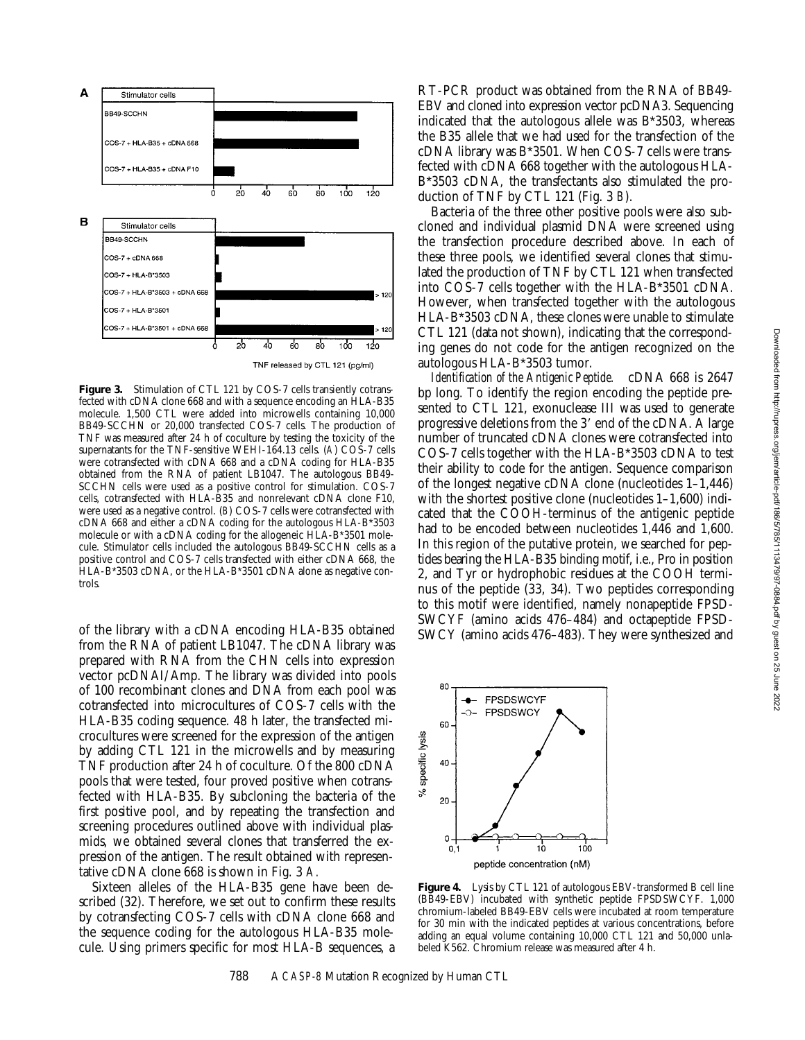

Figure 3. Stimulation of CTL 121 by COS-7 cells transiently cotransfected with cDNA clone 668 and with a sequence encoding an HLA-B35 molecule. 1,500 CTL were added into microwells containing 10,000 BB49-SCCHN or 20,000 transfected COS-7 cells. The production of TNF was measured after 24 h of coculture by testing the toxicity of the supernatants for the TNF-sensitive WEHI-164.13 cells. (*A*) COS-7 cells were cotransfected with cDNA 668 and a cDNA coding for HLA-B35 obtained from the RNA of patient LB1047. The autologous BB49- SCCHN cells were used as a positive control for stimulation. COS-7 cells, cotransfected with HLA-B35 and nonrelevant cDNA clone F10, were used as a negative control. (*B*) COS-7 cells were cotransfected with cDNA 668 and either a cDNA coding for the autologous HLA-B\*3503 molecule or with a cDNA coding for the allogeneic HLA-B\*3501 molecule. Stimulator cells included the autologous BB49-SCCHN cells as a positive control and COS-7 cells transfected with either cDNA 668, the HLA-B\*3503 cDNA, or the HLA-B\*3501 cDNA alone as negative controls.

of the library with a cDNA encoding HLA-B35 obtained from the RNA of patient LB1047. The cDNA library was prepared with RNA from the CHN cells into expression vector pcDNAI/Amp. The library was divided into pools of 100 recombinant clones and DNA from each pool was cotransfected into microcultures of COS-7 cells with the HLA-B35 coding sequence. 48 h later, the transfected microcultures were screened for the expression of the antigen by adding CTL 121 in the microwells and by measuring TNF production after 24 h of coculture. Of the 800 cDNA pools that were tested, four proved positive when cotransfected with HLA-B35. By subcloning the bacteria of the first positive pool, and by repeating the transfection and screening procedures outlined above with individual plasmids, we obtained several clones that transferred the expression of the antigen. The result obtained with representative cDNA clone 668 is shown in Fig. 3 *A.*

Sixteen alleles of the HLA-B35 gene have been described (32). Therefore, we set out to confirm these results by cotransfecting COS-7 cells with cDNA clone 668 and the sequence coding for the autologous HLA-B35 molecule. Using primers specific for most HLA-B sequences, a RT-PCR product was obtained from the RNA of BB49- EBV and cloned into expression vector pcDNA3. Sequencing indicated that the autologous allele was B\*3503, whereas the B35 allele that we had used for the transfection of the cDNA library was B\*3501. When COS-7 cells were transfected with cDNA 668 together with the autologous HLA-B\*3503 cDNA, the transfectants also stimulated the production of TNF by CTL 121 (Fig. 3 *B*).

Bacteria of the three other positive pools were also subcloned and individual plasmid DNA were screened using the transfection procedure described above. In each of these three pools, we identified several clones that stimulated the production of TNF by CTL 121 when transfected into COS-7 cells together with the HLA-B\*3501 cDNA. However, when transfected together with the autologous HLA-B\*3503 cDNA, these clones were unable to stimulate CTL 121 (data not shown), indicating that the corresponding genes do not code for the antigen recognized on the autologous HLA-B\*3503 tumor.

*Identification of the Antigenic Peptide.* cDNA 668 is 2647 bp long. To identify the region encoding the peptide presented to CTL 121, exonuclease III was used to generate progressive deletions from the 3' end of the cDNA. A large number of truncated cDNA clones were cotransfected into COS-7 cells together with the HLA-B\*3503 cDNA to test their ability to code for the antigen. Sequence comparison of the longest negative cDNA clone (nucleotides 1–1,446) with the shortest positive clone (nucleotides 1–1,600) indicated that the COOH-terminus of the antigenic peptide had to be encoded between nucleotides 1,446 and 1,600. In this region of the putative protein, we searched for peptides bearing the HLA-B35 binding motif, i.e., Pro in position 2, and Tyr or hydrophobic residues at the COOH terminus of the peptide (33, 34). Two peptides corresponding to this motif were identified, namely nonapeptide FPSD-SWCYF (amino acids 476–484) and octapeptide FPSD-SWCY (amino acids 476–483). They were synthesized and



**Figure 4.** Lysis by CTL 121 of autologous EBV-transformed B cell line (BB49-EBV) incubated with synthetic peptide FPSDSWCYF. 1,000 chromium-labeled BB49-EBV cells were incubated at room temperature for 30 min with the indicated peptides at various concentrations, before adding an equal volume containing 10,000 CTL 121 and 50,000 unlabeled K562. Chromium release was measured after 4 h.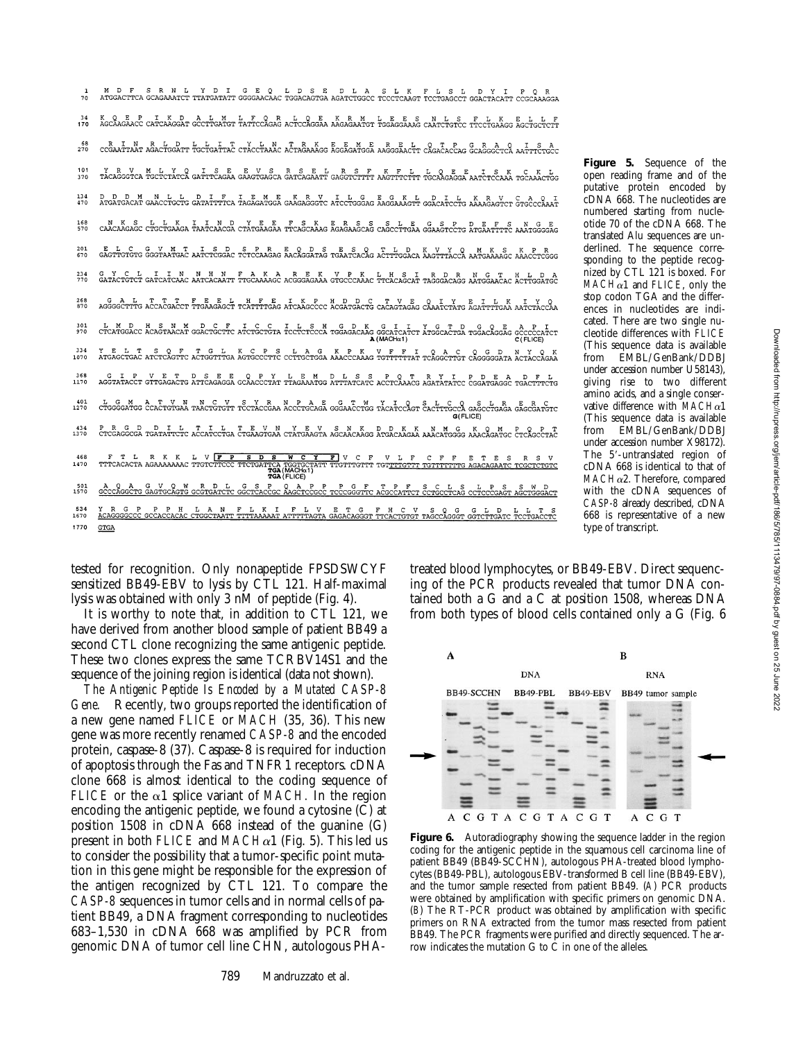**Figure 5.** Sequence of the open reading frame and of the putative protein encoded by cDNA 668. The nucleotides are numbered starting from nucleotide 70 of the cDNA 668. The translated Alu sequences are underlined. The sequence corresponding to the peptide recognized by CTL 121 is boxed. For  $MACH\alpha1$  and *FLICE*, only the stop codon TGA and the differences in nucleotides are indicated. There are two single nucleotide differences with *FLICE* (This sequence data is available from EMBL/GenBank/DDBJ under accession number U58143), giving rise to two different amino acids, and a single conservative difference with *MACH*a1 (This sequence data is available EMBL/GenBank/DDBJ under accession number X98172). The 5'-untranslated region of cDNA 668 is identical to that of *MACH*a2. Therefore, compared with the cDNA sequences of *CASP-8* already described, cDNA 668 is representative of a new type of transcript.

tested for recognition. Only nonapeptide FPSDSWCYF sensitized BB49-EBV to lysis by CTL 121. Half-maximal lysis was obtained with only 3 nM of peptide (Fig. 4).

It is worthy to note that, in addition to CTL 121, we have derived from another blood sample of patient BB49 a second CTL clone recognizing the same antigenic peptide. These two clones express the same TCRBV14S1 and the sequence of the joining region is identical (data not shown).

*The Antigenic Peptide Is Encoded by a Mutated CASP-8 Gene.* Recently, two groups reported the identification of a new gene named *FLICE* or *MACH* (35, 36). This new gene was more recently renamed *CASP-8* and the encoded protein, caspase-8 (37). Caspase-8 is required for induction of apoptosis through the Fas and TNFR1 receptors. cDNA clone 668 is almost identical to the coding sequence of *FLICE* or the  $\alpha$ 1 splice variant of *MACH*. In the region encoding the antigenic peptide, we found a cytosine (C) at position 1508 in cDNA 668 instead of the guanine (G) present in both *FLICE* and  $MACHa1$  (Fig. 5). This led us to consider the possibility that a tumor-specific point mutation in this gene might be responsible for the expression of the antigen recognized by CTL 121. To compare the *CASP-8* sequences in tumor cells and in normal cells of patient BB49, a DNA fragment corresponding to nucleotides 683–1,530 in cDNA 668 was amplified by PCR from genomic DNA of tumor cell line CHN, autologous PHA-

treated blood lymphocytes, or BB49-EBV. Direct sequencing of the PCR products revealed that tumor DNA contained both a G and a C at position 1508, whereas DNA from both types of blood cells contained only a G (Fig. 6



Figure 6. Autoradiography showing the sequence ladder in the region coding for the antigenic peptide in the squamous cell carcinoma line of patient BB49 (BB49-SCCHN), autologous PHA-treated blood lymphocytes (BB49-PBL), autologous EBV-transformed B cell line (BB49-EBV), and the tumor sample resected from patient BB49. (*A*) PCR products were obtained by amplification with specific primers on genomic DNA. (*B*) The RT-PCR product was obtained by amplification with specific primers on RNA extracted from the tumor mass resected from patient BB49. The PCR fragments were purified and directly sequenced. The arrow indicates the mutation  $G$  to  $\tilde{C}$  in one of the alleles.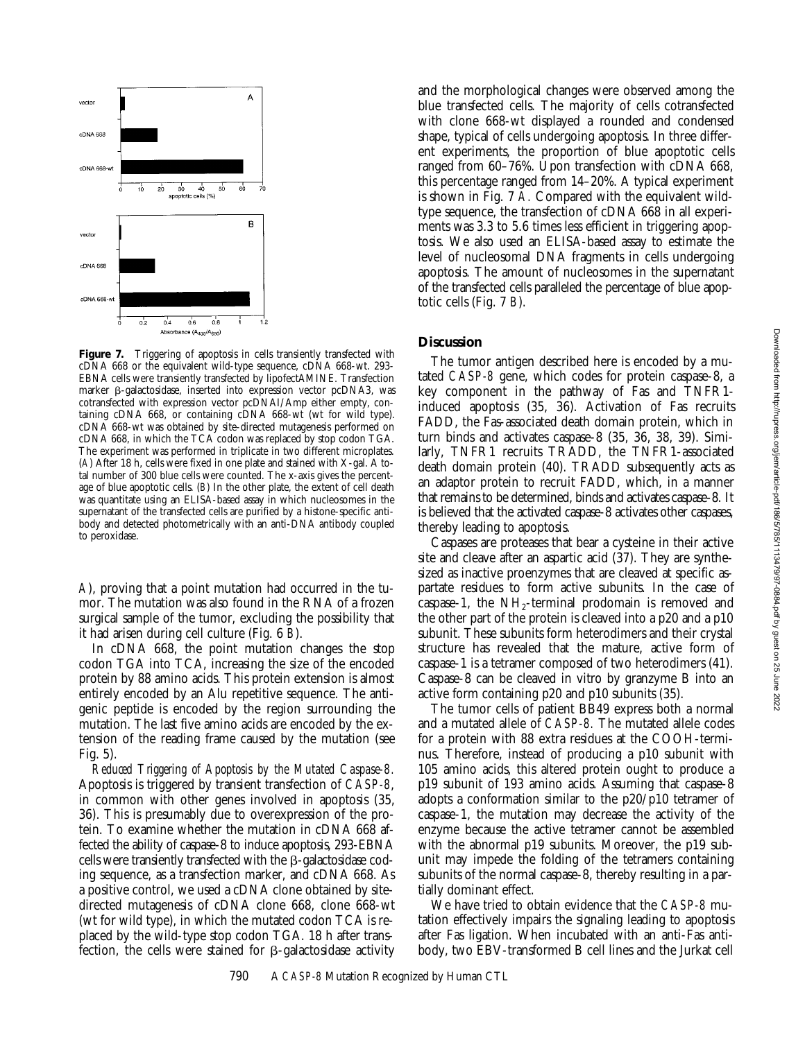

Figure 7. Triggering of apoptosis in cells transiently transfected with cDNA 668 or the equivalent wild-type sequence, cDNA 668-wt. 293- EBNA cells were transiently transfected by lipofectAMINE. Transfection marker b-galactosidase, inserted into expression vector pcDNA3, was cotransfected with expression vector pcDNAI/Amp either empty, containing cDNA 668, or containing cDNA 668-wt (wt for wild type). cDNA 668-wt was obtained by site-directed mutagenesis performed on cDNA 668, in which the TCA codon was replaced by stop codon TGA. The experiment was performed in triplicate in two different microplates. (*A*) After 18 h, cells were fixed in one plate and stained with X-gal. A total number of 300 blue cells were counted. The x-axis gives the percentage of blue apoptotic cells. (*B*) In the other plate, the extent of cell death was quantitate using an ELISA-based assay in which nucleosomes in the supernatant of the transfected cells are purified by a histone-specific antibody and detected photometrically with an anti-DNA antibody coupled to peroxidase.

*A*), proving that a point mutation had occurred in the tumor. The mutation was also found in the RNA of a frozen surgical sample of the tumor, excluding the possibility that it had arisen during cell culture (Fig. 6 *B*).

In cDNA 668, the point mutation changes the stop codon TGA into TCA, increasing the size of the encoded protein by 88 amino acids. This protein extension is almost entirely encoded by an Alu repetitive sequence. The antigenic peptide is encoded by the region surrounding the mutation. The last five amino acids are encoded by the extension of the reading frame caused by the mutation (see Fig. 5).

*Reduced Triggering of Apoptosis by the Mutated Caspase-8.* Apoptosis is triggered by transient transfection of *CASP-8*, in common with other genes involved in apoptosis (35, 36). This is presumably due to overexpression of the protein. To examine whether the mutation in cDNA 668 affected the ability of caspase-8 to induce apoptosis, 293-EBNA cells were transiently transfected with the  $\beta$ -galactosidase coding sequence, as a transfection marker, and cDNA 668. As a positive control, we used a cDNA clone obtained by sitedirected mutagenesis of cDNA clone 668, clone 668-wt (wt for wild type), in which the mutated codon TCA is replaced by the wild-type stop codon TGA. 18 h after transfection, the cells were stained for  $\beta$ -galactosidase activity and the morphological changes were observed among the blue transfected cells. The majority of cells cotransfected with clone 668-wt displayed a rounded and condensed shape, typical of cells undergoing apoptosis. In three different experiments, the proportion of blue apoptotic cells ranged from 60–76%. Upon transfection with cDNA 668, this percentage ranged from 14–20%. A typical experiment is shown in Fig. 7 *A.* Compared with the equivalent wildtype sequence, the transfection of cDNA 668 in all experiments was 3.3 to 5.6 times less efficient in triggering apoptosis. We also used an ELISA-based assay to estimate the level of nucleosomal DNA fragments in cells undergoing apoptosis. The amount of nucleosomes in the supernatant of the transfected cells paralleled the percentage of blue apoptotic cells (Fig. 7 *B*).

## **Discussion**

The tumor antigen described here is encoded by a mutated *CASP-8* gene, which codes for protein caspase-8, a key component in the pathway of Fas and TNFR1 induced apoptosis (35, 36). Activation of Fas recruits FADD, the Fas-associated death domain protein, which in turn binds and activates caspase-8 (35, 36, 38, 39). Similarly, TNFR1 recruits TRADD, the TNFR1-associated death domain protein (40). TRADD subsequently acts as an adaptor protein to recruit FADD, which, in a manner that remains to be determined, binds and activates caspase-8. It is believed that the activated caspase-8 activates other caspases, thereby leading to apoptosis.

Caspases are proteases that bear a cysteine in their active site and cleave after an aspartic acid (37). They are synthesized as inactive proenzymes that are cleaved at specific aspartate residues to form active subunits. In the case of caspase-1, the  $NH_2$ -terminal prodomain is removed and the other part of the protein is cleaved into a p20 and a p10 subunit. These subunits form heterodimers and their crystal structure has revealed that the mature, active form of caspase-1 is a tetramer composed of two heterodimers (41). Caspase-8 can be cleaved in vitro by granzyme B into an active form containing p20 and p10 subunits (35).

The tumor cells of patient BB49 express both a normal and a mutated allele of *CASP-8.* The mutated allele codes for a protein with 88 extra residues at the COOH-terminus. Therefore, instead of producing a p10 subunit with 105 amino acids, this altered protein ought to produce a p19 subunit of 193 amino acids. Assuming that caspase-8 adopts a conformation similar to the p20/p10 tetramer of caspase-1, the mutation may decrease the activity of the enzyme because the active tetramer cannot be assembled with the abnormal p19 subunits. Moreover, the p19 subunit may impede the folding of the tetramers containing subunits of the normal caspase-8, thereby resulting in a partially dominant effect.

We have tried to obtain evidence that the *CASP-8* mutation effectively impairs the signaling leading to apoptosis after Fas ligation. When incubated with an anti-Fas antibody, two EBV-transformed B cell lines and the Jurkat cell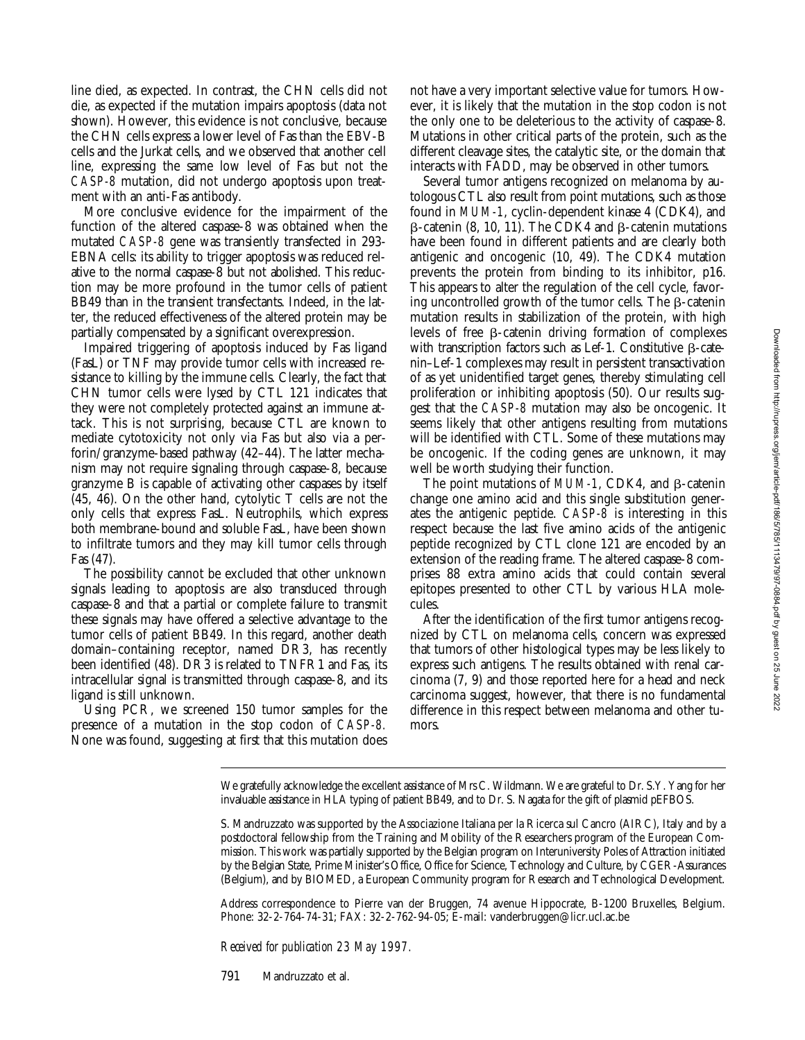line died, as expected. In contrast, the CHN cells did not die, as expected if the mutation impairs apoptosis (data not shown). However, this evidence is not conclusive, because the CHN cells express a lower level of Fas than the EBV-B cells and the Jurkat cells, and we observed that another cell line, expressing the same low level of Fas but not the *CASP-8* mutation, did not undergo apoptosis upon treatment with an anti-Fas antibody.

More conclusive evidence for the impairment of the function of the altered caspase-8 was obtained when the mutated *CASP-8* gene was transiently transfected in 293- EBNA cells: its ability to trigger apoptosis was reduced relative to the normal caspase-8 but not abolished. This reduction may be more profound in the tumor cells of patient BB49 than in the transient transfectants. Indeed, in the latter, the reduced effectiveness of the altered protein may be partially compensated by a significant overexpression.

Impaired triggering of apoptosis induced by Fas ligand (FasL) or TNF may provide tumor cells with increased resistance to killing by the immune cells. Clearly, the fact that CHN tumor cells were lysed by CTL 121 indicates that they were not completely protected against an immune attack. This is not surprising, because CTL are known to mediate cytotoxicity not only via Fas but also via a perforin/granzyme-based pathway (42–44). The latter mechanism may not require signaling through caspase-8, because granzyme B is capable of activating other caspases by itself (45, 46). On the other hand, cytolytic T cells are not the only cells that express FasL. Neutrophils, which express both membrane-bound and soluble FasL, have been shown to infiltrate tumors and they may kill tumor cells through Fas (47).

The possibility cannot be excluded that other unknown signals leading to apoptosis are also transduced through caspase-8 and that a partial or complete failure to transmit these signals may have offered a selective advantage to the tumor cells of patient BB49. In this regard, another death domain–containing receptor, named DR3, has recently been identified (48). DR3 is related to TNFR1 and Fas, its intracellular signal is transmitted through caspase-8, and its ligand is still unknown.

Using PCR, we screened 150 tumor samples for the presence of a mutation in the stop codon of *CASP-8.* None was found, suggesting at first that this mutation does

not have a very important selective value for tumors. However, it is likely that the mutation in the stop codon is not the only one to be deleterious to the activity of caspase-8. Mutations in other critical parts of the protein, such as the different cleavage sites, the catalytic site, or the domain that interacts with FADD, may be observed in other tumors.

Several tumor antigens recognized on melanoma by autologous CTL also result from point mutations, such as those found in *MUM-1*, cyclin-dependent kinase 4 (CDK4), and  $\beta$ -catenin (8, 10, 11). The CDK4 and  $\beta$ -catenin mutations have been found in different patients and are clearly both antigenic and oncogenic (10, 49). The CDK4 mutation prevents the protein from binding to its inhibitor, p16. This appears to alter the regulation of the cell cycle, favoring uncontrolled growth of the tumor cells. The  $\beta$ -catenin mutation results in stabilization of the protein, with high levels of free  $\beta$ -catenin driving formation of complexes with transcription factors such as Lef-1. Constitutive  $\beta$ -catenin–Lef-1 complexes may result in persistent transactivation of as yet unidentified target genes, thereby stimulating cell proliferation or inhibiting apoptosis (50). Our results suggest that the *CASP-8* mutation may also be oncogenic. It seems likely that other antigens resulting from mutations will be identified with CTL. Some of these mutations may be oncogenic. If the coding genes are unknown, it may well be worth studying their function.

The point mutations of  $MUM-1$ , CDK4, and  $\beta$ -catenin change one amino acid and this single substitution generates the antigenic peptide. *CASP-8* is interesting in this respect because the last five amino acids of the antigenic peptide recognized by CTL clone 121 are encoded by an extension of the reading frame. The altered caspase-8 comprises 88 extra amino acids that could contain several epitopes presented to other CTL by various HLA molecules.

After the identification of the first tumor antigens recognized by CTL on melanoma cells, concern was expressed that tumors of other histological types may be less likely to express such antigens. The results obtained with renal carcinoma (7, 9) and those reported here for a head and neck carcinoma suggest, however, that there is no fundamental difference in this respect between melanoma and other tumors.

We gratefully acknowledge the excellent assistance of Mrs C. Wildmann. We are grateful to Dr. S.Y. Yang for her invaluable assistance in HLA typing of patient BB49, and to Dr. S. Nagata for the gift of plasmid pEFBOS.

Address correspondence to Pierre van der Bruggen, 74 avenue Hippocrate, B-1200 Bruxelles, Belgium. Phone: 32-2-764-74-31; FAX: 32-2-762-94-05; E-mail: vanderbruggen@licr.ucl.ac.be

*Received for publication 23 May 1997.*

791 Mandruzzato et al.

S. Mandruzzato was supported by the Associazione Italiana per la Ricerca sul Cancro (AIRC), Italy and by a postdoctoral fellowship from the Training and Mobility of the Researchers program of the European Commission. This work was partially supported by the Belgian program on Interuniversity Poles of Attraction initiated by the Belgian State, Prime Minister's Office, Office for Science, Technology and Culture, by CGER-Assurances (Belgium), and by BIOMED, a European Community program for Research and Technological Development.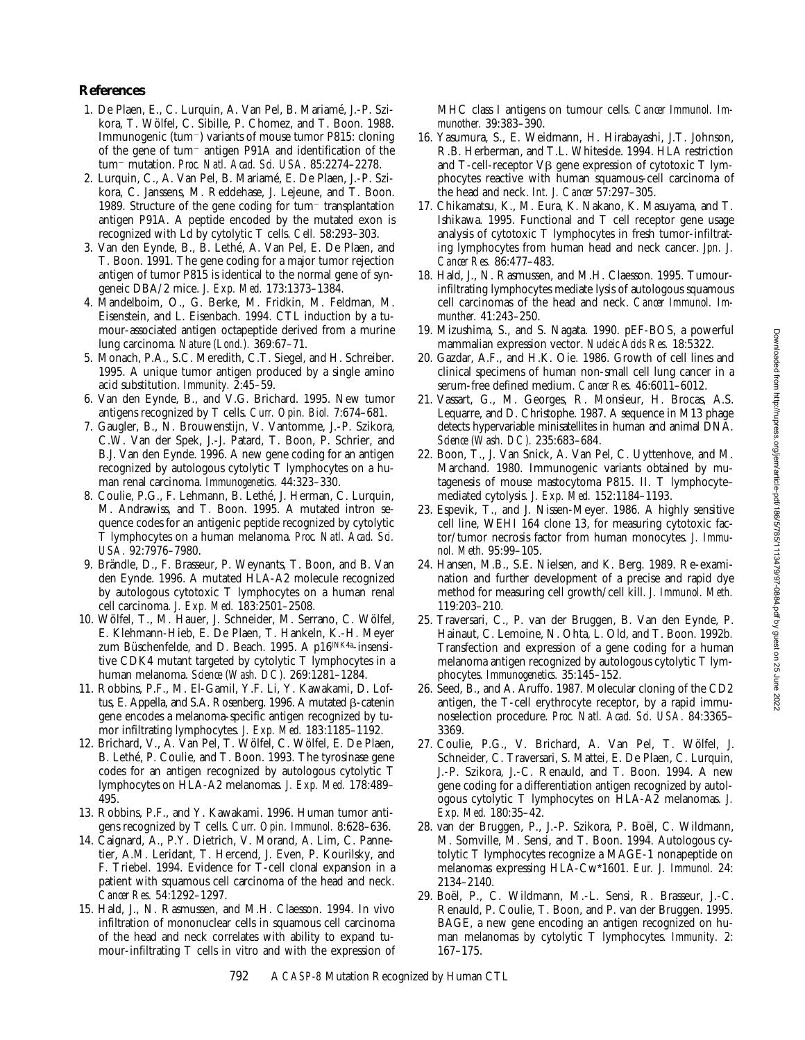## **References**

- 1. De Plaen, E., C. Lurquin, A. Van Pel, B. Mariamé, J.-P. Szikora, T. Wölfel, C. Sibille, P. Chomez, and T. Boon. 1988. Immunogenic (tum<sup>-</sup>) variants of mouse tumor P815: cloning of the gene of tum<sup>-</sup> antigen P91A and identification of the tum<sup>2</sup> mutation. *Proc. Natl. Acad. Sci. USA.* 85:2274–2278.
- 2. Lurquin, C., A. Van Pel, B. Mariamé, E. De Plaen, J.-P. Szikora, C. Janssens, M. Reddehase, J. Lejeune, and T. Boon. 1989. Structure of the gene coding for  $tum$  transplantation antigen P91A. A peptide encoded by the mutated exon is recognized with Ld by cytolytic T cells. *Cell.* 58:293–303.
- 3. Van den Eynde, B., B. Lethé, A. Van Pel, E. De Plaen, and T. Boon. 1991. The gene coding for a major tumor rejection antigen of tumor P815 is identical to the normal gene of syngeneic DBA/2 mice. *J. Exp. Med.* 173:1373–1384.
- 4. Mandelboim, O., G. Berke, M. Fridkin, M. Feldman, M. Eisenstein, and L. Eisenbach. 1994. CTL induction by a tumour-associated antigen octapeptide derived from a murine lung carcinoma. *Nature (Lond.).* 369:67–71.
- 5. Monach, P.A., S.C. Meredith, C.T. Siegel, and H. Schreiber. 1995. A unique tumor antigen produced by a single amino acid substitution. *Immunity.* 2:45–59.
- 6. Van den Eynde, B., and V.G. Brichard. 1995. New tumor antigens recognized by T cells. *Curr. Opin. Biol.* 7:674–681.
- 7. Gaugler, B., N. Brouwenstijn, V. Vantomme, J.-P. Szikora, C.W. Van der Spek, J.-J. Patard, T. Boon, P. Schrier, and B.J. Van den Eynde. 1996. A new gene coding for an antigen recognized by autologous cytolytic T lymphocytes on a human renal carcinoma. *Immunogenetics.* 44:323–330.
- 8. Coulie, P.G., F. Lehmann, B. Lethé, J. Herman, C. Lurquin, M. Andrawiss, and T. Boon. 1995. A mutated intron sequence codes for an antigenic peptide recognized by cytolytic T lymphocytes on a human melanoma. *Proc. Natl. Acad. Sci. USA.* 92:7976–7980.
- 9. Brändle, D., F. Brasseur, P. Weynants, T. Boon, and B. Van den Eynde. 1996. A mutated HLA-A2 molecule recognized by autologous cytotoxic T lymphocytes on a human renal cell carcinoma. *J. Exp. Med.* 183:2501–2508.
- 10. Wölfel, T., M. Hauer, J. Schneider, M. Serrano, C. Wölfel, E. Klehmann-Hieb, E. De Plaen, T. Hankeln, K.-H. Meyer zum Büschenfelde, and D. Beach. 1995. A p16INK4a-insensitive CDK4 mutant targeted by cytolytic T lymphocytes in a human melanoma. *Science (Wash. DC).* 269:1281–1284.
- 11. Robbins, P.F., M. El-Gamil, Y.F. Li, Y. Kawakami, D. Loftus, E. Appella, and S.A. Rosenberg. 1996. A mutated  $\beta$ -catenin gene encodes a melanoma-specific antigen recognized by tumor infiltrating lymphocytes. *J. Exp. Med.* 183:1185–1192.
- 12. Brichard, V., A. Van Pel, T. Wölfel, C. Wölfel, E. De Plaen, B. Lethé, P. Coulie, and T. Boon. 1993. The tyrosinase gene codes for an antigen recognized by autologous cytolytic T lymphocytes on HLA-A2 melanomas. *J. Exp. Med.* 178:489– 495.
- 13. Robbins, P.F., and Y. Kawakami. 1996. Human tumor antigens recognized by T cells. *Curr. Opin. Immunol.* 8:628–636.
- 14. Caignard, A., P.Y. Dietrich, V. Morand, A. Lim, C. Pannetier, A.M. Leridant, T. Hercend, J. Even, P. Kourilsky, and F. Triebel. 1994. Evidence for T-cell clonal expansion in a patient with squamous cell carcinoma of the head and neck. *Cancer Res.* 54:1292–1297.
- 15. Hald, J., N. Rasmussen, and M.H. Claesson. 1994. In vivo infiltration of mononuclear cells in squamous cell carcinoma of the head and neck correlates with ability to expand tumour-infiltrating T cells in vitro and with the expression of

MHC class I antigens on tumour cells. *Cancer Immunol. Immunother.* 39:383–390.

- 16. Yasumura, S., E. Weidmann, H. Hirabayashi, J.T. Johnson, R.B. Herberman, and T.L. Whiteside. 1994. HLA restriction and T-cell-receptor  $V\beta$  gene expression of cytotoxic T lymphocytes reactive with human squamous-cell carcinoma of the head and neck. *Int. J. Cancer* 57:297–305.
- 17. Chikamatsu, K., M. Eura, K. Nakano, K. Masuyama, and T. Ishikawa. 1995. Functional and T cell receptor gene usage analysis of cytotoxic T lymphocytes in fresh tumor-infiltrating lymphocytes from human head and neck cancer. *Jpn. J. Cancer Res.* 86:477–483.
- 18. Hald, J., N. Rasmussen, and M.H. Claesson. 1995. Tumourinfiltrating lymphocytes mediate lysis of autologous squamous cell carcinomas of the head and neck. *Cancer Immunol. Immunther.* 41:243–250.
- 19. Mizushima, S., and S. Nagata. 1990. pEF-BOS, a powerful mammalian expression vector. *Nucleic Acids Res.* 18:5322.
- 20. Gazdar, A.F., and H.K. Oie. 1986. Growth of cell lines and clinical specimens of human non-small cell lung cancer in a serum-free defined medium. *Cancer Res.* 46:6011–6012.
- 21. Vassart, G., M. Georges, R. Monsieur, H. Brocas, A.S. Lequarre, and D. Christophe. 1987. A sequence in M13 phage detects hypervariable minisatellites in human and animal DNA. *Science (Wash. DC).* 235:683–684.
- 22. Boon, T., J. Van Snick, A. Van Pel, C. Uyttenhove, and M. Marchand. 1980. Immunogenic variants obtained by mutagenesis of mouse mastocytoma P815. II. T lymphocyte– mediated cytolysis. *J. Exp. Med.* 152:1184–1193.
- 23. Espevik, T., and J. Nissen-Meyer. 1986. A highly sensitive cell line, WEHI 164 clone 13, for measuring cytotoxic factor/tumor necrosis factor from human monocytes. *J. Immunol. Meth.* 95:99–105.
- 24. Hansen, M.B., S.E. Nielsen, and K. Berg. 1989. Re-examination and further development of a precise and rapid dye method for measuring cell growth/cell kill. *J. Immunol. Meth.* 119:203–210.
- 25. Traversari, C., P. van der Bruggen, B. Van den Eynde, P. Hainaut, C. Lemoine, N. Ohta, L. Old, and T. Boon. 1992b*.* Transfection and expression of a gene coding for a human melanoma antigen recognized by autologous cytolytic T lymphocytes. *Immunogenetics.* 35:145–152.
- 26. Seed, B., and A. Aruffo. 1987. Molecular cloning of the CD2 antigen, the T-cell erythrocyte receptor, by a rapid immunoselection procedure. *Proc. Natl. Acad. Sci. USA.* 84:3365– 3369.
- 27. Coulie, P.G., V. Brichard, A. Van Pel, T. Wölfel, J. Schneider, C. Traversari, S. Mattei, E. De Plaen, C. Lurquin, J.-P. Szikora, J.-C. Renauld, and T. Boon. 1994. A new gene coding for a differentiation antigen recognized by autologous cytolytic T lymphocytes on HLA-A2 melanomas. *J. Exp. Med.* 180:35–42.
- 28. van der Bruggen, P., J.-P. Szikora, P. Boël, C. Wildmann, M. Somville, M. Sensi, and T. Boon. 1994. Autologous cytolytic T lymphocytes recognize a MAGE-1 nonapeptide on melanomas expressing HLA-Cw\*1601. *Eur. J. Immunol.* 24: 2134–2140.
- 29. Boël, P., C. Wildmann, M.-L. Sensi, R. Brasseur, J.-C. Renauld, P. Coulie, T. Boon, and P. van der Bruggen. 1995. BAGE, a new gene encoding an antigen recognized on human melanomas by cytolytic T lymphocytes. *Immunity.* 2: 167–175.